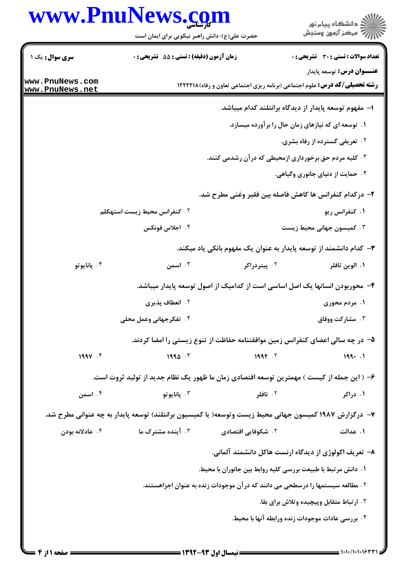## www.PnuNews.com

|                                                               | www.PnuNews.com                                                                                         |                    |                                                                                    |  |  |
|---------------------------------------------------------------|---------------------------------------------------------------------------------------------------------|--------------------|------------------------------------------------------------------------------------|--|--|
|                                                               | حضرت علی(ع): دانش راهبر نیکویی برای ایمان است                                                           |                    | ڪ دانشڪاه پيا <sub>م</sub> نور<br>۾ سرڪز آزمون وسنڊش                               |  |  |
| <b>سری سوال :</b> یک ۱                                        | <b>زمان آزمون (دقیقه) : تستی : 55 تشریحی : 0</b>                                                        |                    | <b>تعداد سوالات : تستی : 30 ٪ تشریحی : 0</b>                                       |  |  |
|                                                               |                                                                                                         |                    | <b>عنـــوان درس:</b> توسعه پایدار                                                  |  |  |
| www.PnuNews.com<br>www.PnuNews.net                            |                                                                                                         |                    | <b>رشته تحصیلی/کد درس:</b> علوم اجتماعی (برنامه ریزی اجتماعی تعاون و رفاه) ۱۲۲۲۲۱۸ |  |  |
|                                                               |                                                                                                         |                    | ا– مفهوم توسعه پایدار از دیدگاه برانتلند کدام میباشد.                              |  |  |
|                                                               |                                                                                                         |                    | ۰۱ توسعه ای که نیازهای زمان حال را برآورده میسازد.                                 |  |  |
|                                                               |                                                                                                         |                    | <b>10 تعریفی گسترده از رفاه بشری.</b>                                              |  |  |
|                                                               | ۰۳ کلیه مردم حق برخورداری ازمحیطی که در آن رشدمی کنند.                                                  |                    |                                                                                    |  |  |
|                                                               |                                                                                                         |                    | ۰۴ حمایت از دنیای جانوری وگیاهی.                                                   |  |  |
|                                                               |                                                                                                         |                    | ۲– درکدام کنفرانس ها کاهش فاصله بین فقیر وغنی مطرح شد.                             |  |  |
|                                                               | ۰۲ کنفرانس محیط زیست استهکلم                                                                            |                    | ۰۱ کنفرانس ریو                                                                     |  |  |
|                                                               | ۰۴ اجلاس فونکس                                                                                          |                    | ۰۳ کمیسون جهانی محیط زیست                                                          |  |  |
|                                                               |                                                                                                         |                    | ۳– کدام دانشمند از توسعه پایدار به عنوان یک مفهوم بانکی یاد میکند.                 |  |  |
| ۰۴ پانايوتو                                                   | ۰۳ اسمن                                                                                                 | ۰۲ پیتردراکر       | ۰۱ الوين تافلر                                                                     |  |  |
|                                                               |                                                                                                         |                    | ۴– محوربودن انسانها یک اصل اساسی است از کدامیک از اصول توسعه پایدار میباشد.        |  |  |
|                                                               | ۰۲ انعطاف پذیری                                                                                         |                    | ۰۱ مردم محوری                                                                      |  |  |
|                                                               | ۰۴ تفکرجهانی وعمل محلی                                                                                  |                    | <b>8 . مشاركت ووفاق</b>                                                            |  |  |
|                                                               |                                                                                                         |                    | ۵– در چه سالی اعضای کنفرانس زمین موافقتنامه حفاظت از تنوع زیستی را امضا کردند.     |  |  |
| $199V$ . F                                                    | 1990.7                                                                                                  | 1997.7             | 199. .1                                                                            |  |  |
|                                                               | ۶– ( این جمله از کیست ) مهمترین توسعه اقتصادی زمان ما ظهور یک نظام جدید از تولید ثروت است.              |                    |                                                                                    |  |  |
| ۰۴ اسمن                                                       | ۰۳ پانايو تو                                                                                            | ۰۲ تافلر           | ۰۱ دراکر                                                                           |  |  |
|                                                               | ۷–  درگزارش ۱۹۸۷ کمیسون جهانی محیط زیست وتوسعه( یا کمیسیون برانتلند) توسعه پایدار به چه عنوانی مطرح شد. |                    |                                                                                    |  |  |
| ۰۴ عادلانه بودن                                               | ۰۳ آینده مشترک ما                                                                                       | ۲. شکوفایی اقتصادی | ۱. عدالت                                                                           |  |  |
|                                                               |                                                                                                         |                    | ۸– تعریف اکولوژی از دیدگاه ارنست هاکل دانشمند آلمانی.                              |  |  |
| ١.  دانش مرتبط با طبیعت بررسی کلیه روابط بین جانوران با محیط. |                                                                                                         |                    |                                                                                    |  |  |
|                                                               |                                                                                                         |                    | ۲ . مطالعه سیستمها را درسطحی می دانند که درآن موجودات زنده به عنوان اجزاهستند.     |  |  |
|                                                               |                                                                                                         |                    | ۰۳ ارتباط متقابل وپیچیده وتلاش برای بقا.                                           |  |  |
|                                                               |                                                                                                         |                    | ۰۴ بررسی عادات موجودات زنده ورابطه آنها با محیط.                                   |  |  |
|                                                               |                                                                                                         |                    |                                                                                    |  |  |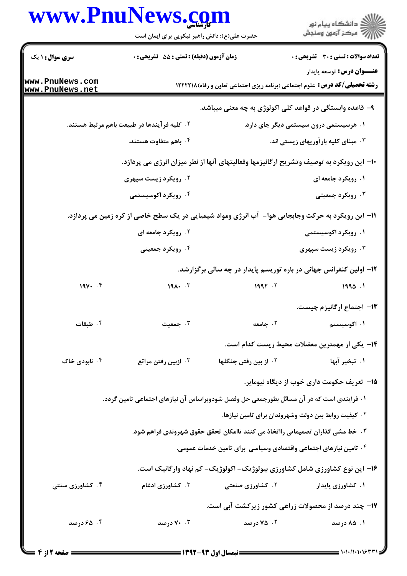|                                    | www.PnuNews.com<br>حضرت علی(ع): دانش راهبر نیکویی برای ایمان است                                  |                                                                                           | ≦ دانشڪاه پيام نور<br>7 مرڪز آزمون وسنڊش      |
|------------------------------------|---------------------------------------------------------------------------------------------------|-------------------------------------------------------------------------------------------|-----------------------------------------------|
| <b>سری سوال :</b> ۱ یک             | <b>زمان آزمون (دقیقه) : تستی : 55 تشریحی : 0</b>                                                  |                                                                                           | تعداد سوالات : تستى : 30 - تشريحي : 0         |
| www.PnuNews.com<br>www.PnuNews.net |                                                                                                   | <b>رشته تحصیلی/کد درس:</b> علوم اجتماعی (برنامه ریزی اجتماعی تعاون و رفاه)۱۲۲۲۱۸ <b>۱</b> | <b>عنـــوان درس:</b> توسعه پایدار             |
|                                    |                                                                                                   | ۹- قاعده وابستگی در قواعد کلی اکولوژی به چه معنی میباشد.                                  |                                               |
|                                    | ۰۲ کلیه فرآیندها در طبیعت باهم مرتبط هستند.                                                       |                                                                                           | ۰۱ هرسیستمی درون سیستمی دیگر جای دارد.        |
|                                    | ۰۴ باهم متفاوت هستند.                                                                             |                                                                                           | ۰۳ مېناي کليه بارآوريهاي زيستي اند.           |
|                                    | ∙ا− این رویکرد به توصیف وتشریح ارگانیزمها وفعالیتهای آنها از نظر میزان انرژی می پردازد.           |                                                                                           |                                               |
|                                    | ۰۲ رویکرد زیست سپهری                                                                              |                                                                                           | ۱. رویکرد جامعه ای                            |
|                                    | ۰۴ رویکرد اکوسیستمی                                                                               |                                                                                           | ۰۳ رویکرد جمعیتی                              |
|                                    | 11– این رویکرد به حرکت وجابجایی هوا- آب انرژی ومواد شیمیایی در یک سطح خاصی از کره زمین می پردازد. |                                                                                           |                                               |
|                                    | ۰۲ رویکرد جامعه ای                                                                                |                                                                                           | ۰۱ رویکرد اکوسیستمی                           |
|                                    | ۰۴ رویکرد جمعیتی                                                                                  |                                                                                           | ۰۳ رویکرد زیست سپهری                          |
|                                    |                                                                                                   | ۱۲- اولین کنفرانس جهانی در باره توریسم پایدار در چه سالی برگزارشد.                        |                                               |
| 194. . f                           | $191 \cdot 7$                                                                                     | 1997.7                                                                                    | 1990.1                                        |
|                                    |                                                                                                   |                                                                                           | ۱۳- اجتماع ارگانیزم چیست.                     |
| ۰۴ طبقات                           | ۰۳ جمعیت                                                                                          | ۰۲ جامعه                                                                                  | ۰۱ اکوسیستم                                   |
|                                    |                                                                                                   |                                                                                           | ۱۴– یکی از مهمترین معضلات محیط زیست کدام است. |
| ۰۴ نابودی خاک                      | ۰۳ ازبین رفتن مراتع                                                                               | 1. از بين رفتن جنگلها                                                                     | ۰۱ تبخیر آبها                                 |
|                                    |                                                                                                   |                                                                                           | ۱۵− تعریف حکومت داری خوب از دیگاه نیومایر.    |
|                                    | ۱. فرایندی است که در آن مسائل بطورجمعی حل وفصل شودوبراساس آن نیازهای اجتماعی تامین گردد.          |                                                                                           |                                               |
|                                    |                                                                                                   | ۰۲ کیفیت روابط بین دولت وشهروندان برای تامین نیازها.                                      |                                               |
|                                    | ۰۳ خط مشی گذاران تصمیماتی رااتخاذ می کنند تاامکان تحقق حقوق شهروندی فراهم شود.                    |                                                                                           |                                               |
|                                    |                                                                                                   | ۰۴ تامین نیازهای اجتماعی واقتصادی وسیاسی برای تامین خدمات عمومی.                          |                                               |
|                                    |                                                                                                   | ۱۶– این نوع کشاورزی شامل کشاورزی بیولوژیک- اکولوژیک- کم نهاد وارگانیک است.                |                                               |
| ۰۴ کشاورزی سنتی                    | ۰۳ کشاورزی ادغام                                                                                  | <b>7. كشاورزي صنعتي</b>                                                                   | ۰۱ کشاورزی پایدار                             |
|                                    |                                                                                                   | ۱۷- چند درصد از محصولات زراعی کشور زیرکشت آبی است.                                        |                                               |
| ۰۴ درصد                            | ۰۰ درصد                                                                                           | ۰۲ درصد                                                                                   | ۰۱ ۸۵ درصد                                    |
|                                    |                                                                                                   |                                                                                           |                                               |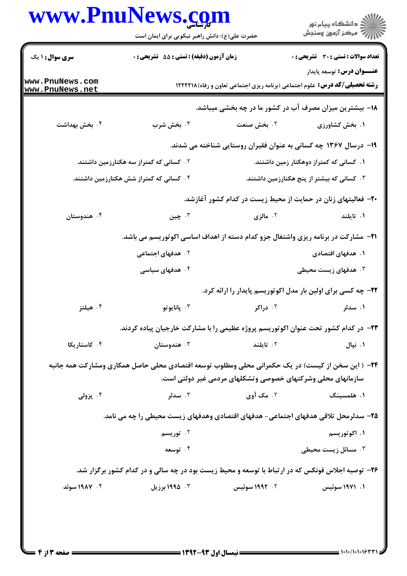## www.PnuNews.com

|                                           | www.PnuNews.com<br>حضرت علی(ع): دانش راهبر نیکویی برای ایمان است                                          |                                                             | ر دانشگاه پيام نور<br>دانشگاه پيام نور (                                          |  |
|-------------------------------------------|-----------------------------------------------------------------------------------------------------------|-------------------------------------------------------------|-----------------------------------------------------------------------------------|--|
| <b>سری سوال : ۱ یک</b>                    | <b>زمان آزمون (دقیقه) : تستی : 55 تشریحی : 0</b>                                                          |                                                             | <b>تعداد سوالات : تستی : 30 ٪ تشریحی : 0</b>                                      |  |
|                                           |                                                                                                           |                                                             | <b>عنـــوان درس:</b> توسعه پایدار                                                 |  |
| www.PnuNews.com<br><u>www.PnuNews.net</u> |                                                                                                           |                                                             | <b>رشته تحصیلی/کد درس:</b> علوم اجتماعی (برنامه ریزی اجتماعی تعاون و رفاه)۱۲۲۲۲۱۸ |  |
|                                           |                                                                                                           |                                                             | ۱۸− بیشترین میزان مصرف آب در کشور ما در چه بخشی میباشد.                           |  |
| ۰۴ بخش بهداشت                             | ۰۳ بخش شرب                                                                                                | ۰۲ بخش صنعت                                                 | ۰۱ بخش کشاورزی                                                                    |  |
|                                           |                                                                                                           |                                                             | ۱۹- درسال ۱۳۶۷ چه کسانی به عنوان فقیران روستایی شناخته می شدند.                   |  |
|                                           | ۰۲ کسانی که کمتراز سه هکتارزمین داشتند.                                                                   |                                                             | ۰۱ کسانی که کمتراز دوهکتار زمین داشتند.                                           |  |
|                                           | ۰۴ کسانی که کمتراز شش هکتارزمین داشتند.                                                                   |                                                             | ۰۳ کسانی که بیشتر از پنج هکتارزمین داشتند.                                        |  |
|                                           |                                                                                                           |                                                             | +۲- فعالیتهای زنان در حمایت از محیط زیست در کدام کشور آغازشد.                     |  |
| ۰۴ هندوستان                               | ۰۳ چين                                                                                                    | ۰۲ مالزی                                                    | ۰۱ تایلند                                                                         |  |
|                                           | <b>۲۱</b> - مشارکت در برنامه ریزی واشتغال جزو کدام دسته از اهداف اساسی اکوتوریسم می باشد.                 |                                                             |                                                                                   |  |
|                                           | ۰۲ هدفهای اجتماعی                                                                                         |                                                             | ۱. هدفهای اقتصادی                                                                 |  |
|                                           | ۰۴ هدفهای سیاسی                                                                                           | ۰۳ هدفهای زیست محیطی                                        |                                                                                   |  |
|                                           |                                                                                                           |                                                             | ۲۲- چه کسی برای اولین بار مدل اکوتوریسم پایدار را ارائه کرد.                      |  |
| ۰۴ هیلتز                                  | ۰۳ پانايو تو                                                                                              | ۰۲ دراکر                                                    | ۱. سدلر                                                                           |  |
|                                           | ۲۳– در کدام کشور تحت عنوان اکوتوریسم پروژه عظیمی را با مشارکت خارجیان پیاده کردند.                        |                                                             |                                                                                   |  |
| ۰۴ کاستاریکا                              | ۰۳ هندوستان                                                                                               | ٢. تايلند                                                   | ۰۱ نیال                                                                           |  |
|                                           | <b>۲۴</b> – ( این سخن از کیست) در یک حکمرانی محلی ومطلوب توسعه اقتصادی محلی حاصل همکاری ومشارکت همه جانبه |                                                             |                                                                                   |  |
|                                           |                                                                                                           | سازمانهای محلی وشرکتهای خصوصی وتشکلهای مردمی غیر دولتی است. |                                                                                   |  |
| ۰۴ پزولی                                  | ۰۳ سدلر                                                                                                   | ۰۲ مک آوي                                                   | ۰۱ هلمسینگ                                                                        |  |
|                                           | ۲۵- سدلرمحل تلاقی هدفهای اجتماعی- هدفهای اقتصادی وهدفهای زیست محیطی را چه می نامد.                        |                                                             |                                                                                   |  |
|                                           | ۰۲ توریسم                                                                                                 |                                                             | ۰۱ اکوتوریسم                                                                      |  |
|                                           | ۰۴ توسعه                                                                                                  |                                                             | ۰۳ مسائل زیست محیط <i>ی</i>                                                       |  |
|                                           | ۲۶- توصیه اجلاس فونکس که در ارتباط با توسعه و محیط زیست بود در چه سالی و در کدام کشور برگزار شد.          |                                                             |                                                                                   |  |
| ۰۴ ۱۹۸۷ سوئد                              | ۰۳ ۱۹۹۵ برزیل                                                                                             | ۰۲ - ۱۹۹۲ سوئیس                                             | ۰۱ ۱۹۷۱ سوئیس                                                                     |  |